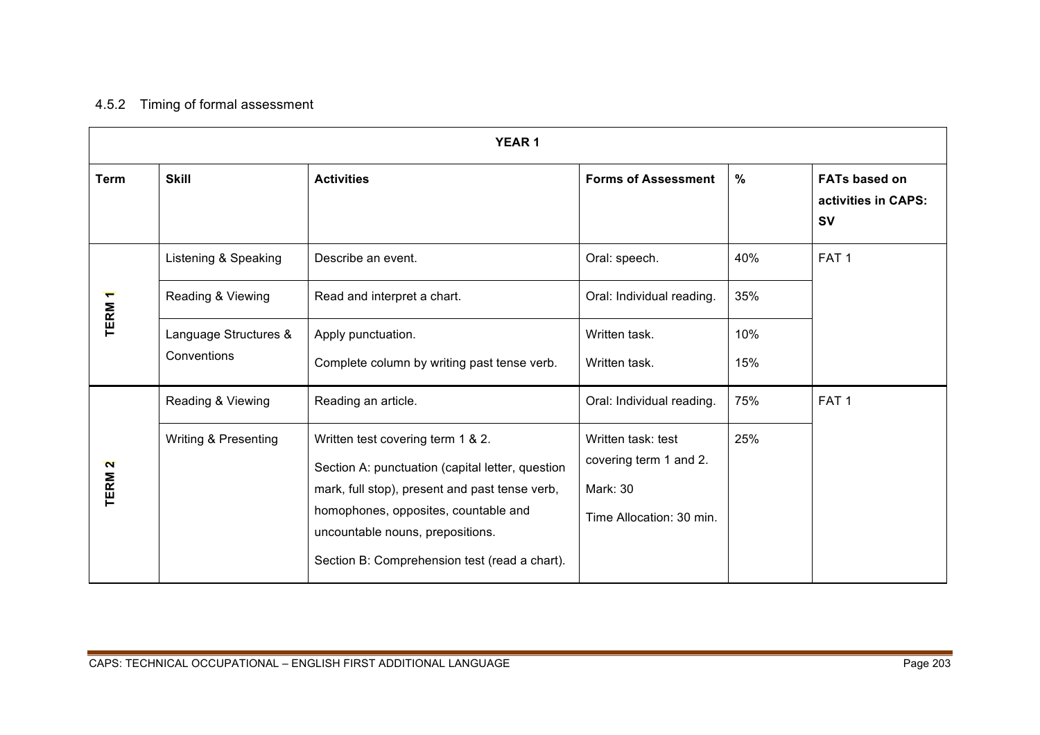## 4.5.2 Timing of formal assessment

| <b>YEAR1</b>      |                       |                                                                                        |                            |               |                                                          |  |
|-------------------|-----------------------|----------------------------------------------------------------------------------------|----------------------------|---------------|----------------------------------------------------------|--|
| <b>Term</b>       | <b>Skill</b>          | <b>Activities</b>                                                                      | <b>Forms of Assessment</b> | $\frac{0}{0}$ | <b>FATs based on</b><br>activities in CAPS:<br><b>SV</b> |  |
|                   | Listening & Speaking  | Describe an event.                                                                     | Oral: speech.              | 40%           | FAT <sub>1</sub>                                         |  |
| TERM <sub>1</sub> | Reading & Viewing     | Read and interpret a chart.                                                            | Oral: Individual reading.  | 35%           |                                                          |  |
|                   | Language Structures & | Apply punctuation.                                                                     | Written task.              | 10%           |                                                          |  |
|                   | Conventions           | Complete column by writing past tense verb.                                            | Written task.              | 15%           |                                                          |  |
|                   | Reading & Viewing     | Reading an article.                                                                    | Oral: Individual reading.  | 75%           | FAT <sub>1</sub>                                         |  |
|                   | Writing & Presenting  | Written test covering term 1 & 2.                                                      | Written task: test         | 25%           |                                                          |  |
| TERM <sub>2</sub> |                       | Section A: punctuation (capital letter, question                                       | covering term 1 and 2.     |               |                                                          |  |
|                   |                       | mark, full stop), present and past tense verb,<br>homophones, opposites, countable and | Mark: 30                   |               |                                                          |  |
|                   |                       | uncountable nouns, prepositions.                                                       | Time Allocation: 30 min.   |               |                                                          |  |
|                   |                       | Section B: Comprehension test (read a chart).                                          |                            |               |                                                          |  |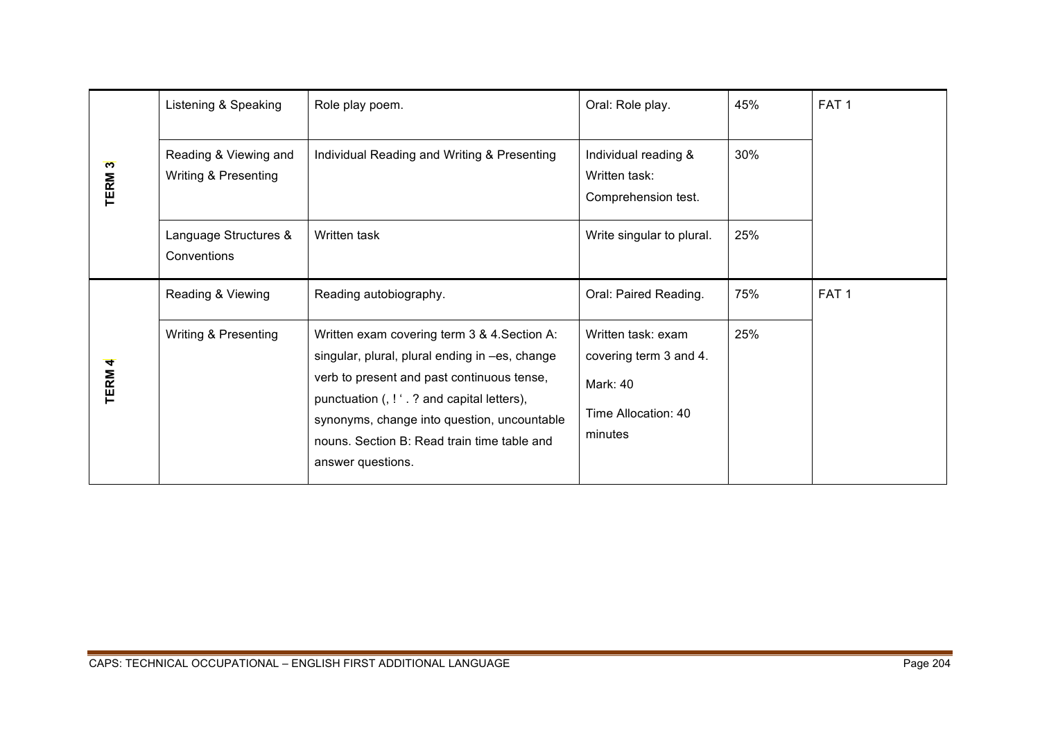|                   | Listening & Speaking                          | Role play poem.                                                                                                                                                                                                                                                                                                 | Oral: Role play.                                                                           | 45% | FAT <sub>1</sub> |
|-------------------|-----------------------------------------------|-----------------------------------------------------------------------------------------------------------------------------------------------------------------------------------------------------------------------------------------------------------------------------------------------------------------|--------------------------------------------------------------------------------------------|-----|------------------|
| TERM <sub>3</sub> | Reading & Viewing and<br>Writing & Presenting | Individual Reading and Writing & Presenting                                                                                                                                                                                                                                                                     | Individual reading &<br>Written task:<br>Comprehension test.                               | 30% |                  |
|                   | Language Structures &<br>Conventions          | Written task                                                                                                                                                                                                                                                                                                    | Write singular to plural.                                                                  | 25% |                  |
|                   | Reading & Viewing                             | Reading autobiography.                                                                                                                                                                                                                                                                                          | Oral: Paired Reading.                                                                      | 75% | FAT <sub>1</sub> |
| <b>TERM 4</b>     | Writing & Presenting                          | Written exam covering term 3 & 4. Section A:<br>singular, plural, plural ending in -es, change<br>verb to present and past continuous tense,<br>punctuation (, ! ' . ? and capital letters),<br>synonyms, change into question, uncountable<br>nouns. Section B: Read train time table and<br>answer questions. | Written task: exam<br>covering term 3 and 4.<br>Mark: 40<br>Time Allocation: 40<br>minutes | 25% |                  |
|                   |                                               |                                                                                                                                                                                                                                                                                                                 |                                                                                            |     |                  |
|                   |                                               | CAPS: TECHNICAL OCCUPATIONAL - ENGLISH FIRST ADDITIONAL LANGUAGE                                                                                                                                                                                                                                                |                                                                                            |     | Page 204         |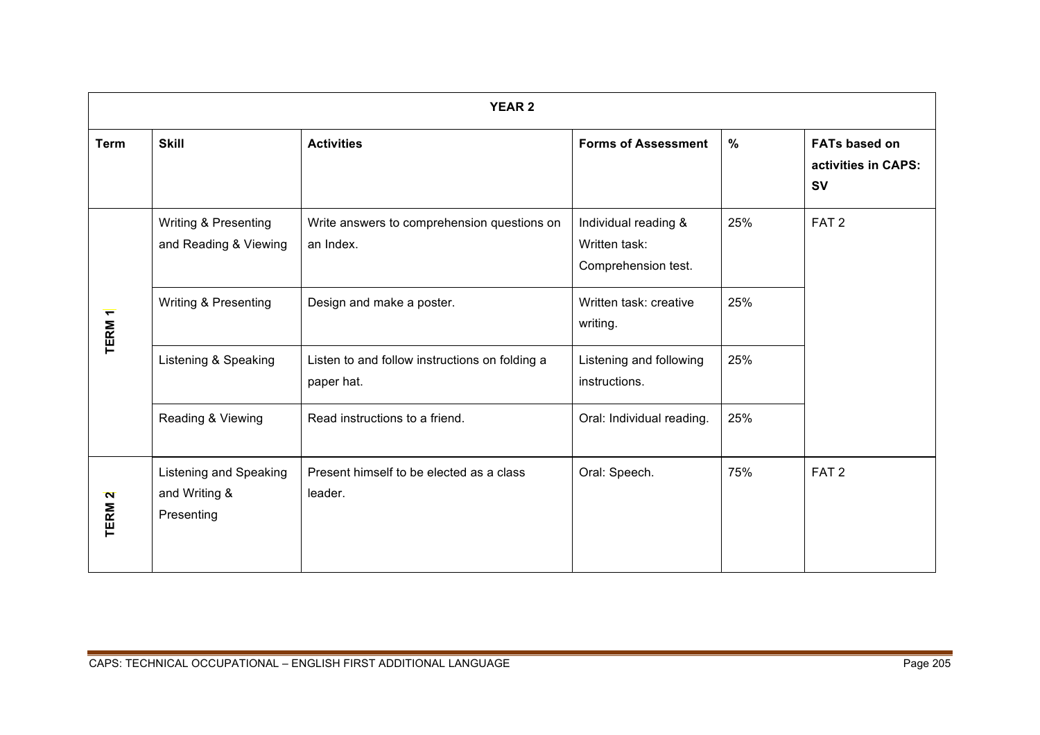| <b>YEAR 2</b>     |                                                       |                                                              |                                                              |      |                                                          |  |
|-------------------|-------------------------------------------------------|--------------------------------------------------------------|--------------------------------------------------------------|------|----------------------------------------------------------|--|
| <b>Term</b>       | <b>Skill</b>                                          | <b>Activities</b>                                            | <b>Forms of Assessment</b>                                   | $\%$ | <b>FATs based on</b><br>activities in CAPS:<br><b>SV</b> |  |
| TERM <sub>1</sub> | Writing & Presenting<br>and Reading & Viewing         | Write answers to comprehension questions on<br>an Index.     | Individual reading &<br>Written task:<br>Comprehension test. | 25%  | FAT <sub>2</sub>                                         |  |
|                   | Writing & Presenting                                  | Design and make a poster.                                    | Written task: creative<br>writing.                           | 25%  |                                                          |  |
|                   | Listening & Speaking                                  | Listen to and follow instructions on folding a<br>paper hat. | Listening and following<br>instructions.                     | 25%  |                                                          |  |
|                   | Reading & Viewing                                     | Read instructions to a friend.                               | Oral: Individual reading.                                    | 25%  |                                                          |  |
| TERM <sub>2</sub> | Listening and Speaking<br>and Writing &<br>Presenting | Present himself to be elected as a class<br>leader.          | Oral: Speech.                                                | 75%  | FAT <sub>2</sub>                                         |  |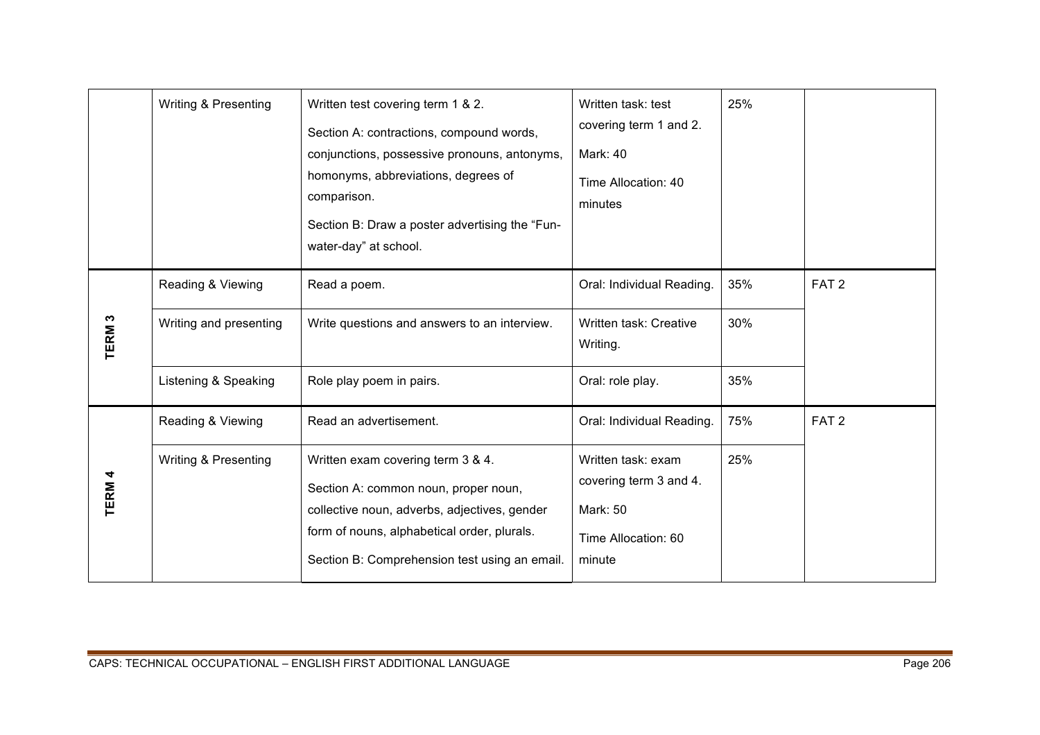|                   | Writing & Presenting                                                | Written test covering term 1 & 2.<br>Section A: contractions, compound words,<br>conjunctions, possessive pronouns, antonyms,<br>homonyms, abbreviations, degrees of<br>comparison.<br>Section B: Draw a poster advertising the "Fun-<br>water-day" at school. | Written task: test<br>covering term 1 and 2.<br>Mark: 40<br>Time Allocation: 40<br>minutes                             | 25%               |                  |
|-------------------|---------------------------------------------------------------------|----------------------------------------------------------------------------------------------------------------------------------------------------------------------------------------------------------------------------------------------------------------|------------------------------------------------------------------------------------------------------------------------|-------------------|------------------|
| TERM <sub>3</sub> | Reading & Viewing<br>Writing and presenting<br>Listening & Speaking | Read a poem.<br>Write questions and answers to an interview.<br>Role play poem in pairs.                                                                                                                                                                       | Oral: Individual Reading.<br>Written task: Creative<br>Writing.<br>Oral: role play.                                    | 35%<br>30%<br>35% | FAT <sub>2</sub> |
| <b>TERM4</b>      | Reading & Viewing<br>Writing & Presenting                           | Read an advertisement.<br>Written exam covering term 3 & 4.<br>Section A: common noun, proper noun,<br>collective noun, adverbs, adjectives, gender<br>form of nouns, alphabetical order, plurals.<br>Section B: Comprehension test using an email.            | Oral: Individual Reading.<br>Written task: exam<br>covering term 3 and 4.<br>Mark: 50<br>Time Allocation: 60<br>minute | 75%<br>25%        | FAT <sub>2</sub> |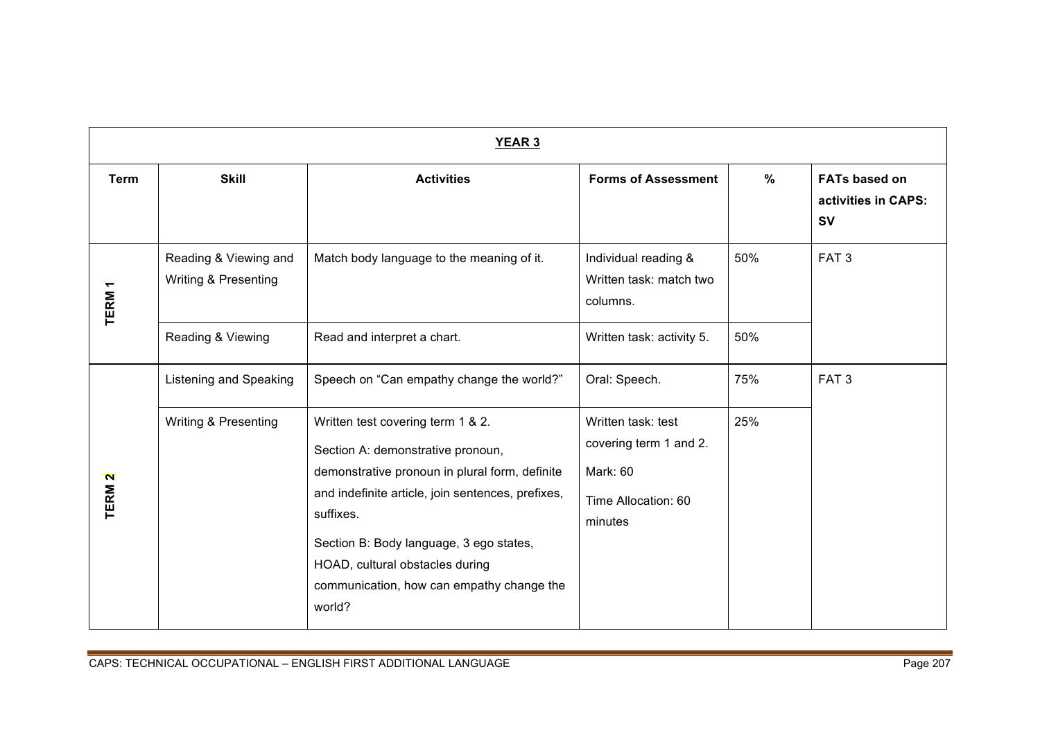| <b>YEAR 3</b>     |                                                          |                                                                                                                                                                                                                                                                                                                       |                                                                                            |      |                                                          |  |
|-------------------|----------------------------------------------------------|-----------------------------------------------------------------------------------------------------------------------------------------------------------------------------------------------------------------------------------------------------------------------------------------------------------------------|--------------------------------------------------------------------------------------------|------|----------------------------------------------------------|--|
| <b>Term</b>       | <b>Skill</b>                                             | <b>Activities</b>                                                                                                                                                                                                                                                                                                     | <b>Forms of Assessment</b>                                                                 | $\%$ | <b>FATs based on</b><br>activities in CAPS:<br><b>SV</b> |  |
| TERM <sub>1</sub> | Reading & Viewing and<br><b>Writing &amp; Presenting</b> | Match body language to the meaning of it.                                                                                                                                                                                                                                                                             | Individual reading &<br>Written task: match two<br>columns.                                | 50%  | FAT <sub>3</sub>                                         |  |
|                   | Reading & Viewing                                        | Read and interpret a chart.                                                                                                                                                                                                                                                                                           | Written task: activity 5.                                                                  | 50%  |                                                          |  |
|                   | <b>Listening and Speaking</b>                            | Speech on "Can empathy change the world?"                                                                                                                                                                                                                                                                             | Oral: Speech.                                                                              | 75%  | FAT <sub>3</sub>                                         |  |
| TERM <sub>2</sub> | Writing & Presenting                                     | Written test covering term 1 & 2.<br>Section A: demonstrative pronoun,<br>demonstrative pronoun in plural form, definite<br>and indefinite article, join sentences, prefixes,<br>suffixes.<br>Section B: Body language, 3 ego states,<br>HOAD, cultural obstacles during<br>communication, how can empathy change the | Written task: test<br>covering term 1 and 2.<br>Mark: 60<br>Time Allocation: 60<br>minutes | 25%  |                                                          |  |
|                   |                                                          | world?                                                                                                                                                                                                                                                                                                                |                                                                                            |      |                                                          |  |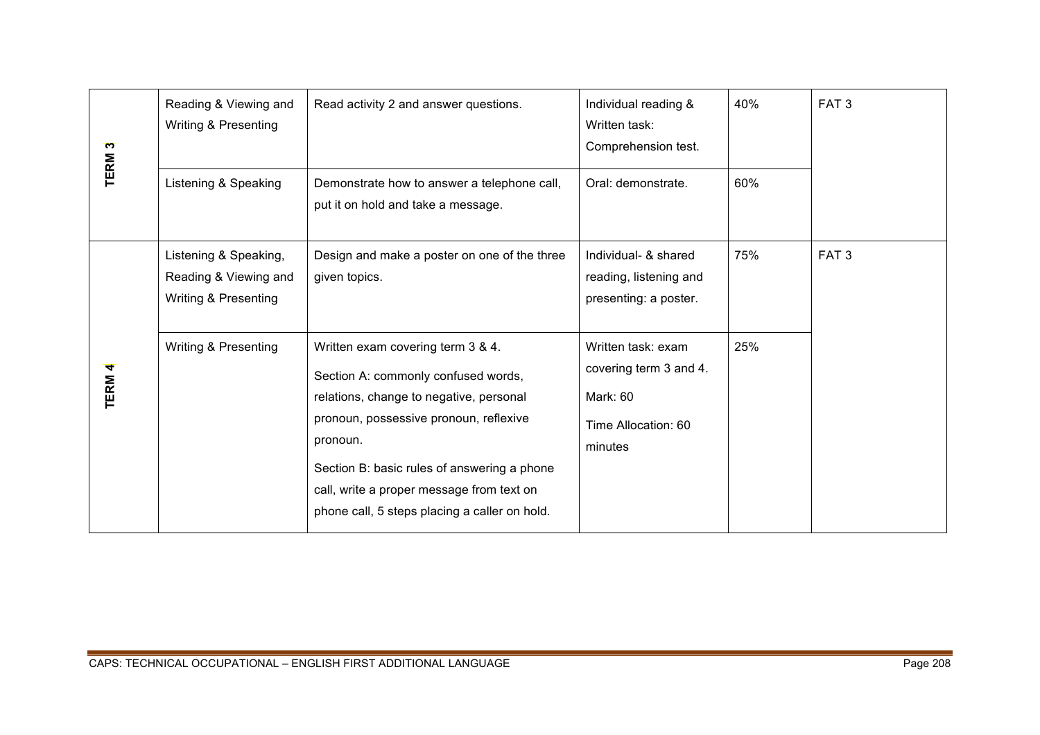| TERM <sub>3</sub> | Reading & Viewing and<br><b>Writing &amp; Presenting</b>                          | Read activity 2 and answer questions.                                                                                                                                                                                                                                                                                  | Individual reading &<br>Written task:<br>Comprehension test.                               | 40% | FAT <sub>3</sub> |
|-------------------|-----------------------------------------------------------------------------------|------------------------------------------------------------------------------------------------------------------------------------------------------------------------------------------------------------------------------------------------------------------------------------------------------------------------|--------------------------------------------------------------------------------------------|-----|------------------|
|                   | Listening & Speaking                                                              | Demonstrate how to answer a telephone call,<br>put it on hold and take a message.                                                                                                                                                                                                                                      | Oral: demonstrate.                                                                         | 60% |                  |
|                   | Listening & Speaking,<br>Reading & Viewing and<br><b>Writing &amp; Presenting</b> | Design and make a poster on one of the three<br>given topics.                                                                                                                                                                                                                                                          | Individual- & shared<br>reading, listening and<br>presenting: a poster.                    | 75% | FAT <sub>3</sub> |
| TERM 4            | Writing & Presenting                                                              | Written exam covering term 3 & 4.<br>Section A: commonly confused words,<br>relations, change to negative, personal<br>pronoun, possessive pronoun, reflexive<br>pronoun.<br>Section B: basic rules of answering a phone<br>call, write a proper message from text on<br>phone call, 5 steps placing a caller on hold. | Written task: exam<br>covering term 3 and 4.<br>Mark: 60<br>Time Allocation: 60<br>minutes | 25% |                  |
|                   |                                                                                   | CAPS: TECHNICAL OCCUPATIONAL - ENGLISH FIRST ADDITIONAL LANGUAGE                                                                                                                                                                                                                                                       |                                                                                            |     | Page 208         |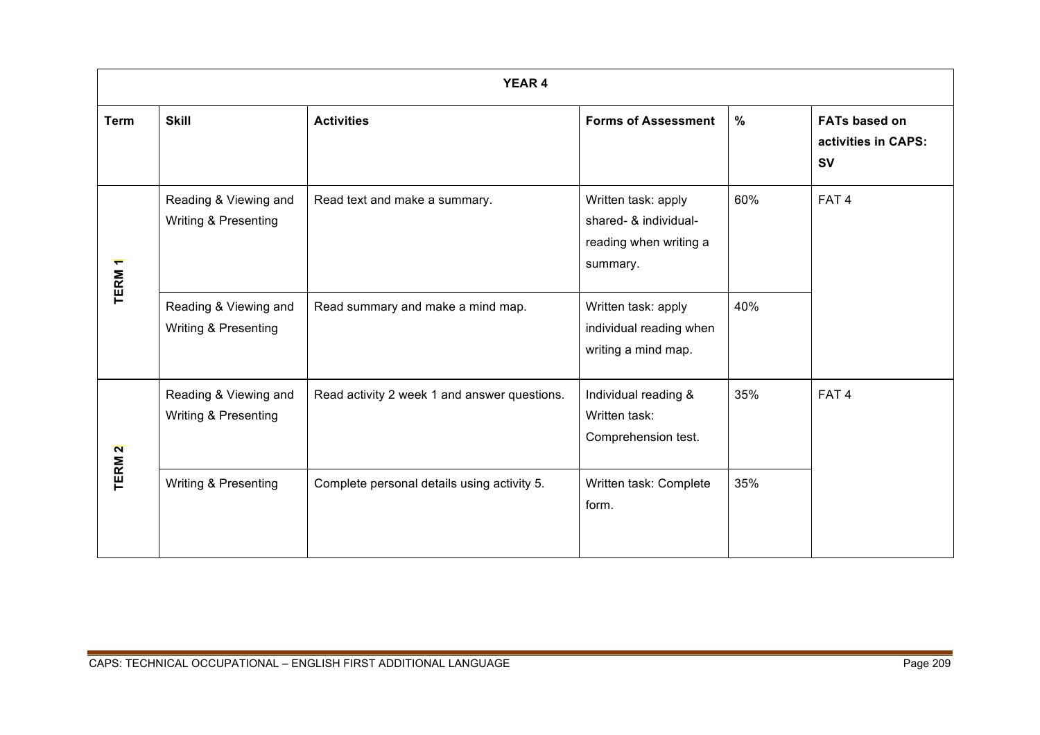| <b>YEAR 4</b>     |                                               |                                              |                                                                                    |      |                                                          |  |
|-------------------|-----------------------------------------------|----------------------------------------------|------------------------------------------------------------------------------------|------|----------------------------------------------------------|--|
| <b>Term</b>       | <b>Skill</b>                                  | <b>Activities</b>                            | <b>Forms of Assessment</b>                                                         | $\%$ | <b>FATs based on</b><br>activities in CAPS:<br><b>SV</b> |  |
| TERM <sub>1</sub> | Reading & Viewing and<br>Writing & Presenting | Read text and make a summary.                | Written task: apply<br>shared- & individual-<br>reading when writing a<br>summary. | 60%  | FAT <sub>4</sub>                                         |  |
|                   | Reading & Viewing and<br>Writing & Presenting | Read summary and make a mind map.            | Written task: apply<br>individual reading when<br>writing a mind map.              | 40%  |                                                          |  |
| TERM <sub>2</sub> | Reading & Viewing and<br>Writing & Presenting | Read activity 2 week 1 and answer questions. | Individual reading &<br>Written task:<br>Comprehension test.                       | 35%  | FAT <sub>4</sub>                                         |  |
|                   | Writing & Presenting                          | Complete personal details using activity 5.  | Written task: Complete<br>form.                                                    | 35%  |                                                          |  |